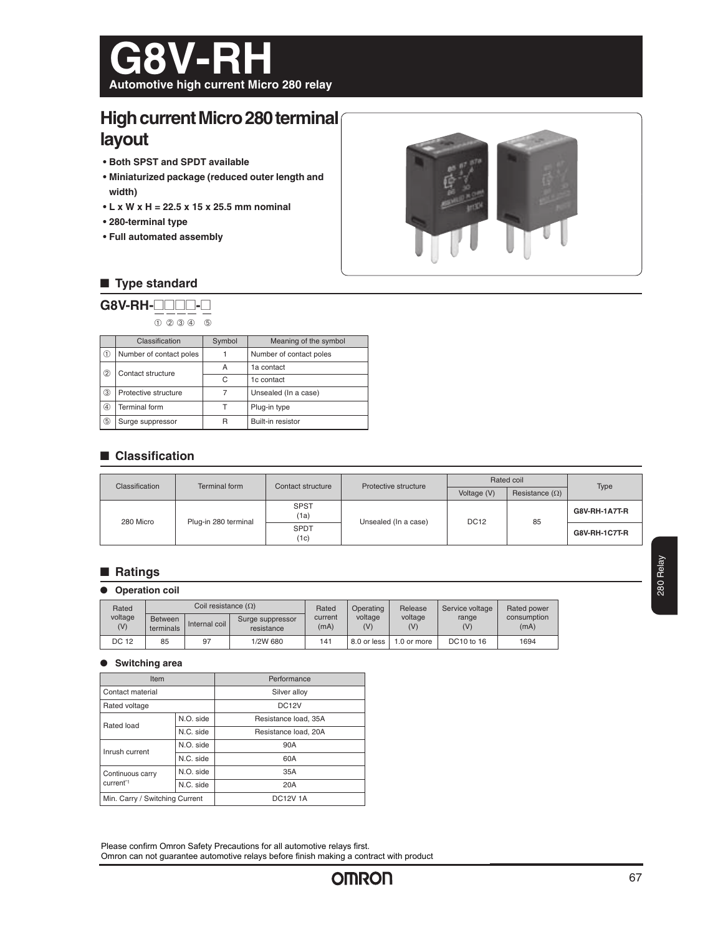

# **High current Micro 280 terminal layout**

- **Both SPST and SPDT available**
- **Miniaturized package (reduced outer length and width)**
- **L x W x H = 22.5 x 15 x 25.5 mm nominal**
- **280-terminal type**
- **Full automated assembly**



# ■ **Type standard**

| $G8V$ -RH- $\Pi$<br>$(2)$ $(3)$ $(4)$<br>ගි) |                         |        |                         |  |  |
|----------------------------------------------|-------------------------|--------|-------------------------|--|--|
|                                              | Classification          | Symbol | Meaning of the symbol   |  |  |
| (T)                                          | Number of contact poles |        | Number of contact poles |  |  |
| 2                                            | Contact structure       | A      | 1a contact              |  |  |
|                                              |                         | C      | 1c contact              |  |  |
| ③                                            | Protective structure    | 7      | Unsealed (In a case)    |  |  |
| ⊕                                            | Terminal form           | т      | Plug-in type            |  |  |

➄ Surge suppressor R Built-in resistor

# ■ **Classification**

| Classification | Terminal form        | Contact structure   | Protective structure | Rated coil  |                       |                      |
|----------------|----------------------|---------------------|----------------------|-------------|-----------------------|----------------------|
|                |                      |                     |                      | Voltage (V) | Resistance $(\Omega)$ | Type                 |
| 280 Micro      | Plug-in 280 terminal | <b>SPST</b><br>(1a) | Unsealed (In a case) | <b>DC12</b> | 85                    | G8V-RH-1A7T-R        |
|                |                      | <b>SPDT</b><br>(1c) |                      |             |                       | <b>G8V-RH-1C7T-R</b> |

## ■ **Ratings**

#### ● **Operation coil**

| Rated          |                             | Coil resistance (Ω) |                                | Rated<br>current<br>(mA) |                | Operating      | Release      | Service voltage     | Rated power |
|----------------|-----------------------------|---------------------|--------------------------------|--------------------------|----------------|----------------|--------------|---------------------|-------------|
| voltage<br>(V) | <b>Between</b><br>terminals | Internal coil       | Surge suppressor<br>resistance |                          | voltage<br>(V) | voltage<br>(V) | range<br>(V) | consumption<br>(mA) |             |
| DC 12          | 85                          | 97                  | 1/2W 680                       | 141                      | 8.0 or less    | 1.0 or more    | DC10 to 16   | 1694                |             |

#### ● **Switching area**

specifications.

| Item                           |           | Performance          |  |
|--------------------------------|-----------|----------------------|--|
| Contact material               |           | Silver alloy         |  |
| Rated voltage                  |           | DC <sub>12</sub> V   |  |
| Rated load                     | N.O. side | Resistance load, 35A |  |
|                                | N.C. side | Resistance load, 20A |  |
| Inrush current                 | N.O. side | 90A                  |  |
|                                | N.C. side | 60A                  |  |
| Continuous carry               | N.O. side | 35A                  |  |
| current <sup>*1</sup>          | N.C. side | 20A                  |  |
| Min. Carry / Switching Current |           | <b>DC12V1A</b>       |  |

Please confirm Omron Safety Precautions for all automotive relays first. Omron can not guarantee automotive relays before finish making a contract with product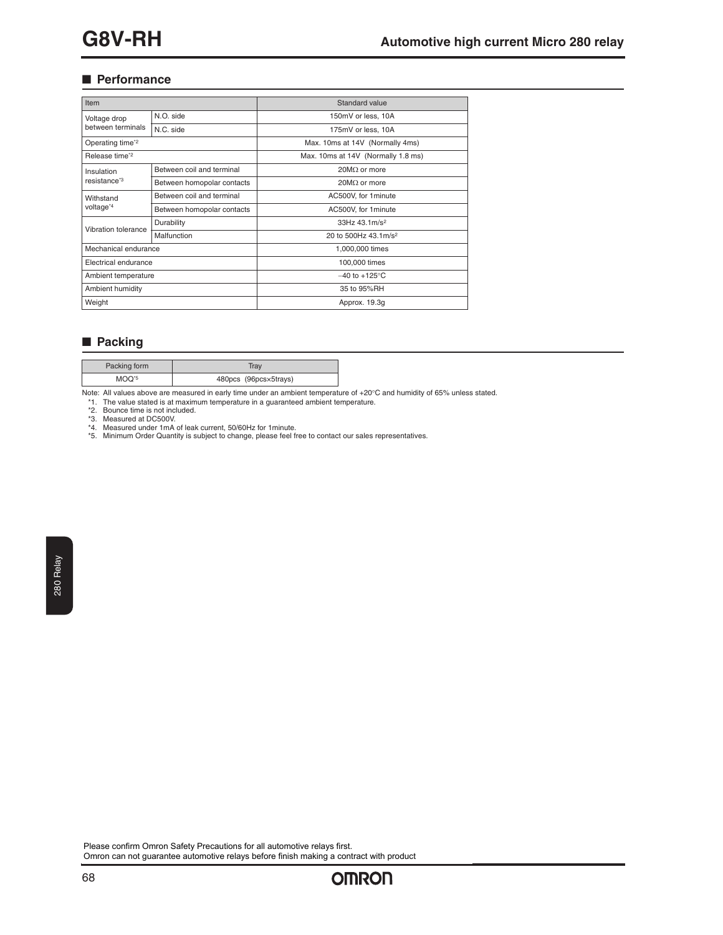# ■ **Performance**

| Item                                   |                            | Standard value                     |  |  |
|----------------------------------------|----------------------------|------------------------------------|--|--|
| Voltage drop                           | N.O. side                  | 150mV or less, 10A                 |  |  |
| between terminals                      | N.C. side                  | 175mV or less, 10A                 |  |  |
| Operating time <sup>*2</sup>           |                            | Max. 10ms at 14V (Normally 4ms)    |  |  |
| Release time <sup>*2</sup>             |                            | Max. 10ms at 14V (Normally 1.8 ms) |  |  |
| Insulation<br>resistance <sup>*3</sup> | Between coil and terminal  | $20M\Omega$ or more                |  |  |
|                                        | Between homopolar contacts | $20 \text{M}\Omega$ or more        |  |  |
| Withstand<br>voltage <sup>*4</sup>     | Between coil and terminal  | AC500V, for 1 minute               |  |  |
|                                        | Between homopolar contacts | AC500V, for 1 minute               |  |  |
| Vibration tolerance                    | Durability                 | 33Hz 43.1m/s <sup>2</sup>          |  |  |
|                                        | Malfunction                | 20 to 500Hz 43.1m/s <sup>2</sup>   |  |  |
| Mechanical endurance                   |                            | 1,000,000 times                    |  |  |
| Electrical endurance                   |                            | 100,000 times                      |  |  |
| Ambient temperature                    |                            | $-40$ to $+125^{\circ}$ C          |  |  |
| Ambient humidity                       |                            | 35 to 95%RH                        |  |  |
| Weight                                 |                            | Approx. 19.3q                      |  |  |

# ■ **Packing**

| Packing form      | Trav                  |
|-------------------|-----------------------|
| MOO <sup>-5</sup> | 480pcs (96pcs×5trays) |

Note: All values above are measured in early time under an ambient temperature of +20°C and humidity of 65% unless stated.

\*1. The value stated is at maximum temperature in a guaranteed ambient temperature.

\*2. Bounce time is not included.<br>\*3. Measured at DC500V.<br>\*4. Measured under 1mA of leak current, 50/60Hz for 1minute.<br>\*5. Minimum Order Quantity is subject to change, please feel free to contact our sales representativ

Please confirm Omron Safety Precautions for all automotive relays first. Omron can not guarantee automotive relays before finish making a contract with product